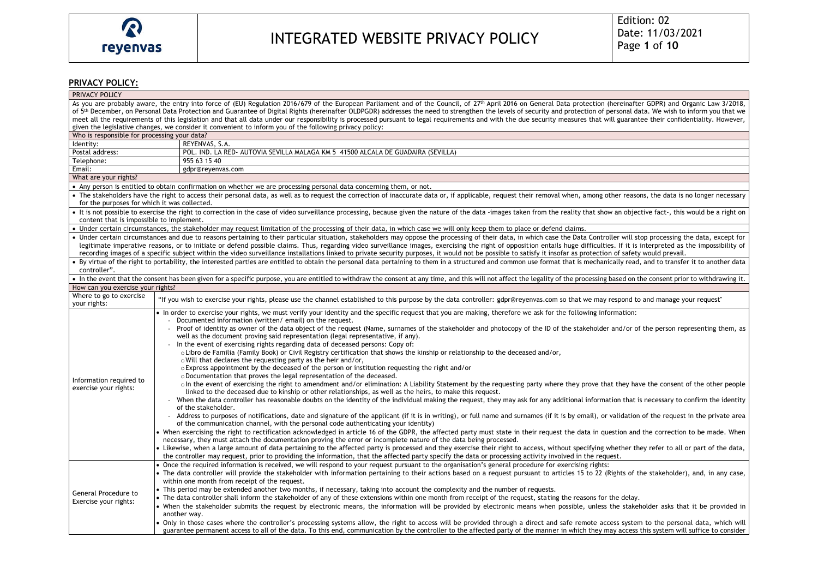## **PRIVACY POLICY:**

| PRIVACY POLICY                                                                                                                                                                                                                                                               |                                                                                                                                                                                                                     |
|------------------------------------------------------------------------------------------------------------------------------------------------------------------------------------------------------------------------------------------------------------------------------|---------------------------------------------------------------------------------------------------------------------------------------------------------------------------------------------------------------------|
| As you are probably aware, the entry into force of (EU) Regulation 2016/679 of the European Parliament and of the Council, of 27 <sup>th</sup> April 2016 on General Data protection (hereinafter GDPR) and Organic Law 3/2018,                                              |                                                                                                                                                                                                                     |
| of 5 <sup>th</sup> December, on Personal Data Protection and Guarantee of Digital Rights (hereinafter OLDPGDR) addresses the need to strengthen the levels of security and protection of personal data. We wish to inform you that we                                        |                                                                                                                                                                                                                     |
| meet all the requirements of this legislation and that all data under our responsibility is processed pursuant to legal requirements and with the due security measures that will guarantee their confidentiality. However,                                                  |                                                                                                                                                                                                                     |
|                                                                                                                                                                                                                                                                              | given the legislative changes, we consider it convenient to inform you of the following privacy policy:                                                                                                             |
| Who is responsible for processing your data?                                                                                                                                                                                                                                 |                                                                                                                                                                                                                     |
| Identity:                                                                                                                                                                                                                                                                    | REYENVAS, S.A.                                                                                                                                                                                                      |
| Postal address:                                                                                                                                                                                                                                                              | POL. IND. LA RED- AUTOVIA SEVILLA MALAGA KM 5 41500 ALCALA DE GUADAIRA (SEVILLA)                                                                                                                                    |
| Telephone:                                                                                                                                                                                                                                                                   | 955 63 15 40                                                                                                                                                                                                        |
| Email:                                                                                                                                                                                                                                                                       | gdpr@reyenvas.com                                                                                                                                                                                                   |
| What are your rights?                                                                                                                                                                                                                                                        |                                                                                                                                                                                                                     |
| • Any person is entitled to obtain confirmation on whether we are processing personal data concerning them, or not.                                                                                                                                                          |                                                                                                                                                                                                                     |
| • The stakeholders have the right to access their personal data, as well as to request the correction of inaccurate data or, if applicable, request their removal when, among other reasons, the data is no longer necessary<br>for the purposes for which it was collected. |                                                                                                                                                                                                                     |
| • It is not possible to exercise the right to correction in the case of video surveillance processing, because given the nature of the data -images taken from the reality that show an objective fact-, this would be a right<br>content that is impossible to implement.   |                                                                                                                                                                                                                     |
| • Under certain circumstances, the stakeholder may request limitation of the processing of their data, in which case we will only keep them to place or defend claims.                                                                                                       |                                                                                                                                                                                                                     |
| • Under certain circumstances and due to reasons pertaining to their particular situation, stakeholders may oppose the processing of their data, in which case the Data Controller will stop processing the data, except for                                                 |                                                                                                                                                                                                                     |
| legitimate imperative reasons, or to initiate or defend possible claims. Thus, regarding video surveillance images, exercising the right of opposition entails huge difficulties. If it is interpreted as the impossibility of                                               |                                                                                                                                                                                                                     |
| recording images of a specific subject within the video surveillance installations linked to private security purposes, it would not be possible to satisfy it insofar as protection of safety would prevail.                                                                |                                                                                                                                                                                                                     |
| • By virtue of the right to portability, the interested parties are entitled to obtain the personal data pertaining to them in a structured and common use format that is mechanically read, and to transfer it to another dat                                               |                                                                                                                                                                                                                     |
| controller".                                                                                                                                                                                                                                                                 |                                                                                                                                                                                                                     |
| • In the event that the consent has been given for a specific purpose, you are entitled to withdraw the consent at any time, and this will not affect the legality of the processing based on the consent prior to withdrawing                                               |                                                                                                                                                                                                                     |
| How can you exercise your rights?                                                                                                                                                                                                                                            |                                                                                                                                                                                                                     |
| Where to go to exercise                                                                                                                                                                                                                                                      | "If you wish to exercise your rights, please use the channel established to this purpose by the data controller: gdpr@reyenvas.com so that we may respond to and manage your request"                               |
| your rights:                                                                                                                                                                                                                                                                 |                                                                                                                                                                                                                     |
| Information required to<br>exercise your rights:                                                                                                                                                                                                                             | • In order to exercise your rights, we must verify your identity and the specific request that you are making, therefore we ask for the following information:                                                      |
|                                                                                                                                                                                                                                                                              | - Documented information (written/email) on the request.                                                                                                                                                            |
|                                                                                                                                                                                                                                                                              | Proof of identity as owner of the data object of the request (Name, surnames of the stakeholder and photocopy of the ID of the stakeholder and/or of the person representing them, as                               |
|                                                                                                                                                                                                                                                                              | well as the document proving said representation (legal representative, if any).                                                                                                                                    |
|                                                                                                                                                                                                                                                                              | - In the event of exercising rights regarding data of deceased persons: Copy of:<br>o Libro de Familia (Family Book) or Civil Registry certification that shows the kinship or relationship to the deceased and/or, |
|                                                                                                                                                                                                                                                                              | o Will that declares the requesting party as the heir and/or,                                                                                                                                                       |
|                                                                                                                                                                                                                                                                              | $\circ$ Express appointment by the deceased of the person or institution requesting the right and/or                                                                                                                |
|                                                                                                                                                                                                                                                                              | o Documentation that proves the legal representation of the deceased.                                                                                                                                               |
|                                                                                                                                                                                                                                                                              | o In the event of exercising the right to amendment and/or elimination: A Liability Statement by the requesting party where they prove that they have the consent of the other people                               |
|                                                                                                                                                                                                                                                                              | linked to the deceased due to kinship or other relationships, as well as the heirs, to make this request.                                                                                                           |
|                                                                                                                                                                                                                                                                              | - When the data controller has reasonable doubts on the identity of the individual making the request, they may ask for any additional information that is necessary to confirm the identity                        |
|                                                                                                                                                                                                                                                                              | of the stakeholder.                                                                                                                                                                                                 |
|                                                                                                                                                                                                                                                                              | Address to purposes of notifications, date and signature of the applicant (if it is in writing), or full name and surnames (if it is by email), or validation of the request in the private area                    |
|                                                                                                                                                                                                                                                                              | of the communication channel, with the personal code authenticating your identity)                                                                                                                                  |
|                                                                                                                                                                                                                                                                              | • When exercising the right to rectification acknowledged in article 16 of the GDPR, the affected party must state in their request the data in question and the correction to be made. When                        |
|                                                                                                                                                                                                                                                                              | necessary, they must attach the documentation proving the error or incomplete nature of the data being processed.                                                                                                   |
|                                                                                                                                                                                                                                                                              | • Likewise, when a large amount of data pertaining to the affected party is processed and they exercise their right to access, without specifying whether they refer to all or part of the data,                    |
|                                                                                                                                                                                                                                                                              | the controller may request, prior to providing the information, that the affected party specify the data or processing activity involved in the request.                                                            |
|                                                                                                                                                                                                                                                                              | • Once the required information is received, we will respond to your request pursuant to the organisation's general procedure for exercising rights:                                                                |
|                                                                                                                                                                                                                                                                              | • The data controller will provide the stakeholder with information pertaining to their actions based on a request pursuant to articles 15 to 22 (Rights of the stakeholder), and, in any case,                     |
|                                                                                                                                                                                                                                                                              | within one month from receipt of the request.                                                                                                                                                                       |
| General Procedure to<br>Exercise your rights:                                                                                                                                                                                                                                | • This period may be extended another two months, if necessary, taking into account the complexity and the number of requests.                                                                                      |
|                                                                                                                                                                                                                                                                              | • The data controller shall inform the stakeholder of any of these extensions within one month from receipt of the request, stating the reasons for the delay.                                                      |
|                                                                                                                                                                                                                                                                              | • When the stakeholder submits the request by electronic means, the information will be provided by electronic means when possible, unless the stakeholder asks that it be provided in<br>another way.              |
|                                                                                                                                                                                                                                                                              | • Only in those cases where the controller's processing systems allow, the right to access will be provided through a direct and safe remote access system to the personal data, which will                         |
|                                                                                                                                                                                                                                                                              | guarantee permanent access to all of the data. To this end, communication by the controller to the affected party of the manner in which they may access this system will suffice to consider                       |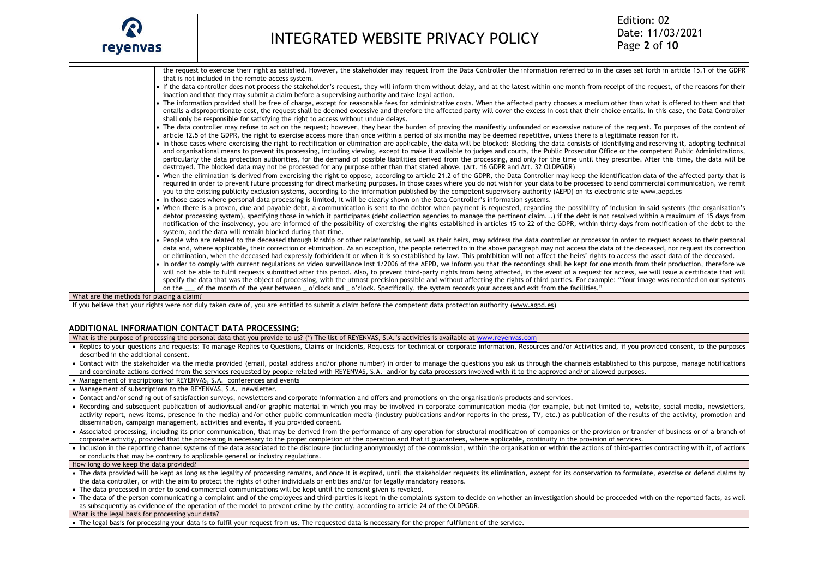

the request to exercise their right as satisfied. However, the stakeholder may request from the Data Controller the information referred to in the cases set forth in article 15.1 of the GDPR that is not included in the remote access system. If the data controller does not process the stakeholder's request, they will inform them without delay, and at the latest within one month from receipt of the request, of the reasons for their inaction and that they may submit a claim before a supervising authority and take legal action. The information provided shall be free of charge, except for reasonable fees for administrative costs. When the affected party chooses a medium other than what is offered to them and that entails a disproportionate cost, the request shall be deemed excessive and therefore the affected party will cover the excess in cost that their choice entails. In this case, the Data Controller shall only be responsible for satisfying the right to access without undue delays. The data controller may refuse to act on the request; however, they bear the burden of proving the manifestly unfounded or excessive nature of the request. To purposes of the content of article 12.5 of the GDPR, the right to exercise access more than once within a period of six months may be deemed repetitive, unless there is a legitimate reason for it. In those cases where exercising the right to rectification or elimination are applicable, the data will be blocked: Blocking the data consists of identifying and reserving it, adopting technical and organisational means to prevent its processing, including viewing, except to make it available to judges and courts, the Public Prosecutor Office or the competent Public Administrations, particularly the data protection authorities, for the demand of possible liabilities derived from the processing, and only for the time until they prescribe. After this time, the data will be destroyed. The blocked data may not be processed for any purpose other than that stated above. (Art. 16 GDPR and Art. 32 OLDPGDR) When the elimination is derived from exercising the right to oppose, according to article 21.2 of the GDPR, the Data Controller may keep the identification data of the affected party that is required in order to prevent future processing for direct marketing purposes. In those cases where you do not wish for your data to be processed to send commercial communication, we remit you to the existing publicity exclusion systems, according to the information published by the competent supervisory authority (AEPD) on its electronic sit[e www.aepd.es](about:blank) • In those cases where personal data processing is limited, it will be clearly shown on the Data Controller's information systems. When there is a proven, due and payable debt, a communication is sent to the debtor when payment is requested, regarding the possibility of inclusion in said systems (the organisation's debtor processing system), specifying those in which it participates (debt collection agencies to manage the pertinent claim...) if the debt is not resolved within a maximum of 15 days from notification of the insolvency, you are informed of the possibility of exercising the rights established in articles 15 to 22 of the GDPR, within thirty days from notification of the debt to the system, and the data will remain blocked during that time. People who are related to the deceased through kinship or other relationship, as well as their heirs, may address the data controller or processor in order to request access to their personal data and, where applicable, their correction or elimination. As an exception, the people referred to in the above paragraph may not access the data of the deceased, nor request its correction or elimination, when the deceased had expressly forbidden it or when it is so established by law. This prohibition will not affect the heirs' rights to access the asset data of the deceased. In order to comply with current regulations on video surveillance Inst 1/2006 of the AEPD, we inform you that the recordings shall be kept for one month from their production, therefore we will not be able to fulfil requests submitted after this period. Also, to prevent third-party rights from being affected, in the event of a request for access, we will issue a certificate that will specify the data that was the object of processing, with the utmost precision possible and without affecting the rights of third parties. For example: "Your image was recorded on our systems on the \_\_\_ of the month of the year between \_\_o'clock and \_\_o'clock. Specifically, the system records your access and exit from the facilities." What are the methods for placing a claim?

If you believe that your rights were not duly taken care of, you are entitled to submit a claim before the competent data protection authority [\(www.agpd.es\)](about:blank)

## **ADDITIONAL INFORMATION CONTACT DATA PROCESSING:**

What is the purpose of processing the personal data that you provide to us? (\*) The list of REYENVAS, S.A.'s activities is available at [www.reyenvas.com](http://www.reyenvas.com/)

- Replies to your questions and requests: To manage Replies to Questions, Claims or Incidents, Requests for technical or corporate information, Resources and/or Activities and, if you provided consent, to the purposes described in the additional consent.
- Contact with the stakeholder via the media provided (email, postal address and/or phone number) in order to manage the questions you ask us through the channels established to this purpose, manage notifications and coordinate actions derived from the services requested by people related with REYENVAS, S.A. and/or by data processors involved with it to the approved and/or allowed purposes.
- Management of inscriptions for REYENVAS, S.A. conferences and events

• Management of subscriptions to the REYENVAS, S.A. newsletter.

- Contact and/or sending out of satisfaction surveys, newsletters and corporate information and offers and promotions on the organisation's products and services.
- Recording and subsequent publication of audiovisual and/or graphic material in which you may be involved in corporate communication media (for example, but not limited to, website, social media, newsletters, activity report, news items, presence in the media) and/or other public communication media (industry publications and/or reports in the press, TV, etc.) as publication of the results of the activity, promotion and dissemination, campaign management, activities and events, if you provided consent.
- Associated processing, including its prior communication, that may be derived from the performance of any operation for structural modification of companies or the provision or transfer of business or of a branch of corporate activity, provided that the processing is necessary to the proper completion of the operation and that it guarantees, where applicable, continuity in the provision of services.
- $\bullet$  Inclusion in the reporting channel systems of the data associated to the disclosure (including anonymously) of the commission, within the organisation or within the actions of third-parties contracting with it, of ac or conducts that may be contrary to applicable general or industry regulations.

How long do we keep the data provided?

- The data provided will be kept as long as the legality of processing remains, and once it is expired, until the stakeholder requests its elimination, except for its conservation to formulate, exercise or defend claims by the data controller, or with the aim to protect the rights of other individuals or entities and/or for legally mandatory reasons.
- The data processed in order to send commercial communications will be kept until the consent given is revoked.
- The data of the person communicating a complaint and of the employees and third-parties is kept in the complaints system to decide on whether an investigation should be proceeded with on the reported facts, as well as subsequently as evidence of the operation of the model to prevent crime by the entity, according to article 24 of the OLDPGDR.

What is the legal basis for processing your data?

• The legal basis for processing your data is to fulfil your request from us. The requested data is necessary for the proper fulfilment of the service.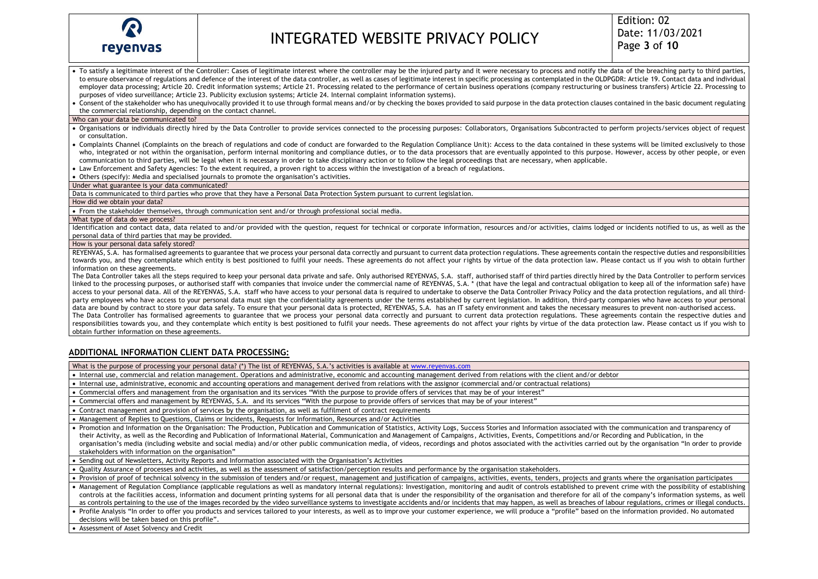

- To satisfy a legitimate interest of the Controller: Cases of legitimate interest where the controller may be the injured party and it were necessary to process and notify the data of the breaching party to third parties to ensure observance of regulations and defence of the interest of the data controller, as well as cases of legitimate interest in specific processing as contemplated in the OLDPGDR: Article 19. Contact data and individual employer data processing; Article 20. Credit information systems; Article 21. Processing related to the performance of certain business operations (company restructuring or business transfers) Article 22. Processing to purposes of video surveillance; Article 23. Publicity exclusion systems; Article 24. Internal complaint information systems).
- Consent of the stakeholder who has unequivocally provided it to use through formal means and/or by checking the boxes provided to said purpose in the data protection clauses contained in the basic document regulating the commercial relationship, depending on the contact channel.

### Who can your data be communicated to?

- Organisations or individuals directly hired by the Data Controller to provide services connected to the processing purposes: Collaborators, Organisations Subcontracted to perform projects/services object of request or consultation.
- Complaints Channel (Complaints on the breach of regulations and code of conduct are forwarded to the Regulation Compliance Unit): Access to the data contained in these systems will be limited exclusively to those who, integrated or not within the organisation, perform internal monitoring and compliance duties, or to the data processors that are eventually appointed to this purpose. However, access by other people, or even communication to third parties, will be legal when it is necessary in order to take disciplinary action or to follow the legal proceedings that are necessary, when applicable.
- Law Enforcement and Safety Agencies: To the extent required, a proven right to access within the investigation of a breach of regulations.
- Others (specify): Media and specialised journals to promote the organisation's activities.

#### Under what guarantee is your data communicated?

Data is communicated to third parties who prove that they have a Personal Data Protection System pursuant to current legislation.

#### How did we obtain your data?

• From the stakeholder themselves, through communication sent and/or through professional social media.

#### What type of data do we process?

Identification and contact data, data related to and/or provided with the question, request for technical or corporate information, resources and/or activities, claims lodged or incidents notified to us, as well as the personal data of third parties that may be provided.

#### How is your personal data safely stored?

REYENVAS, S.A. has formalised agreements to guarantee that we process your personal data correctly and pursuant to current data protection regulations. These agreements contain the respective duties and responsibilities towards you, and they contemplate which entity is best positioned to fulfil your needs. These agreements do not affect your rights by virtue of the data protection law. Please contact us if you wish to obtain further information on these agreements.

The Data Controller takes all the steps required to keep your personal data private and safe. Only authorised REYENVAS, S.A. staff, authorised staff of third parties directly hired by the Data Controller to perform service linked to the processing purposes, or authorised staff with companies that invoice under the commercial name of REYENVAS, S.A. \* (that have the legal and contractual obligation to keep all of the information safe) have access to your personal data. All of the REYENVAS, S.A. staff who have access to your personal data is required to undertake to observe the Data Controller Privacy Policy and the data protection regulations, and all thirdparty employees who have access to your personal data must sign the confidentiality agreements under the terms established by current legislation. In addition, third-party companies who have access to your personal data are bound by contract to store your data safely. To ensure that your personal data is protected, REYENVAS, S.A. has an IT safety environment and takes the necessary measures to prevent non-authorised access. The Data Controller has formalised agreements to guarantee that we process your personal data correctly and pursuant to current data protection regulations. These agreements contain the respective duties and responsibilities towards you, and they contemplate which entity is best positioned to fulfil your needs. These agreements do not affect your rights by virtue of the data protection law. Please contact us if you wish to obtain further information on these agreements.

## **ADDITIONAL INFORMATION CLIENT DATA PROCESSING:**

What is the purpose of processing your personal data? (\*) The list of REYENVAS, S.A.'s activities is available at [www.reyenvas.com](http://www.reyenvas.com/)

- Internal use, commercial and relation management. Operations and administrative, economic and accounting management derived from relations with the client and/or debtor
- Internal use, administrative, economic and accounting operations and management derived from relations with the assignor (commercial and/or contractual relations)
- Commercial offers and management from the organisation and its services "With the purpose to provide offers of services that may be of your interest"
- Commercial offers and management by REYENVAS, S.A. and its services "With the purpose to provide offers of services that may be of your interest"
- Contract management and provision of services by the organisation, as well as fulfilment of contract requirements
- Management of Replies to Questions, Claims or Incidents, Requests for Information, Resources and/or Activities
- Promotion and Information on the Organisation: The Production, Publication and Communication of Statistics, Activity Logs, Success Stories and Information associated with the communication and transparency of their Activity, as well as the Recording and Publication of Informational Material, Communication and Management of Campaigns, Activities, Events, Competitions and/or Recording and Publication, in the organisation's media (including website and social media) and/or other public communication media, of videos, recordings and photos associated with the activities carried out by the organisation "In order to provide stakeholders with information on the organisation"
- Sending out of Newsletters, Activity Reports and Information associated with the Organisation's Activities
- Quality Assurance of processes and activities, as well as the assessment of satisfaction/perception results and performance by the organisation stakeholders.

• Provision of proof of technical solvency in the submission of tenders and/or request, management and justification of campaigns, activities, events, tenders, projects and grants where the organisation participates

• Management of Regulation Compliance (applicable regulations as well as mandatory internal regulations): Investigation, monitoring and audit of controls established to prevent crime with the possibility of establishing controls at the facilities access, information and document printing systems for all personal data that is under the responsibility of the organisation and therefore for all of the company's information systems, as well as controls pertaining to the use of the images recorded by the video surveillance systems to investigate accidents and/or incidents that may happen, as well as breaches of labour regulations, crimes or illegal conducts.

• Profile Analysis "In order to offer you products and services tailored to your interests, as well as to improve your customer experience, we will produce a "profile" based on the information provided. No automated decisions will be taken based on this profile".

• Assessment of Asset Solvency and Credit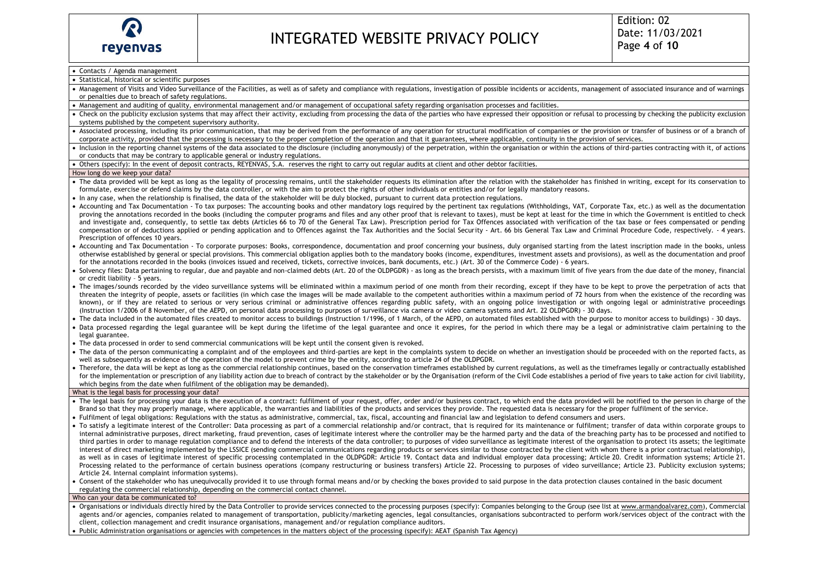## • Contacts / Agenda management

- Statistical, historical or scientific purposes
- Management of Visits and Video Surveillance of the Facilities, as well as of safety and compliance with regulations, investigation of possible incidents or accidents, management of associated insurance and of warnings or penalties due to breach of safety regulations.
- Management and auditing of quality, environmental management and/or management of occupational safety regarding organisation processes and facilities.
- Check on the publicity exclusion systems that may affect their activity, excluding from processing the data of the parties who have expressed their opposition or refusal to processing by checking the publicity exclusion systems published by the competent supervisory authority.
- Associated processing, including its prior communication, that may be derived from the performance of any operation for structural modification of companies or the provision or transfer of business or of a branch of corporate activity, provided that the processing is necessary to the proper completion of the operation and that it guarantees, where applicable, continuity in the provision of services.
- Inclusion in the reporting channel systems of the data associated to the disclosure (including anonymously) of the perpetration, within the organisation or within the actions of third-parties contracting with it, of acti or conducts that may be contrary to applicable general or industry regulations.
- Others (specify): In the event of deposit contracts, REYENVAS, S.A. reserves the right to carry out regular audits at client and other debtor facilities.

#### How long do we keep your data?

- The data provided will be kept as long as the legality of processing remains, until the stakeholder requests its elimination after the relation with the stakeholder has finished in writing, except for its conservation to formulate, exercise or defend claims by the data controller, or with the aim to protect the rights of other individuals or entities and/or for legally mandatory reasons.
- In any case, when the relationship is finalised, the data of the stakeholder will be duly blocked, pursuant to current data protection regulations.
- Accounting and Tax Documentation To tax purposes: The accounting books and other mandatory logs required by the pertinent tax regulations (Withholdings, VAT, Corporate Tax, etc.) as well as the documentation proving the annotations recorded in the books (including the computer programs and files and any other proof that is relevant to taxes), must be kept at least for the time in which the Government is entitled to check and investigate and, consequently, to settle tax debts (Articles 66 to 70 of the General Tax Law). Prescription period for Tax Offences associated with verification of the tax base or fees compensated or pending compensation or of deductions applied or pending application and to Offences against the Tax Authorities and the Social Security - Art. 66 bis General Tax Law and Criminal Procedure Code, respectively. - 4 years. Prescription of offences 10 years.
- Accounting and Tax Documentation To corporate purposes: Books, correspondence, documentation and proof concerning your business, duly organised starting from the latest inscription made in the books, unless otherwise established by general or special provisions. This commercial obligation applies both to the mandatory books (income, expenditures, investment assets and provisions), as well as the documentation and proof for the annotations recorded in the books (invoices issued and received, tickets, corrective invoices, bank documents, etc.) (Art. 30 of the Commerce Code) - 6 years.
- Solvency files: Data pertaining to regular, due and payable and non-claimed debts (Art. 20 of the OLDPGDR) as long as the breach persists, with a maximum limit of five years from the due date of the money, financial or credit liability – 5 years.
- The images/sounds recorded by the video surveillance systems will be eliminated within a maximum period of one month from their recording, except if they have to be kept to prove the perpetration of acts that threaten the integrity of people, assets or facilities (in which case the images will be made available to the competent authorities within a maximum period of 72 hours from when the existence of the recording was known), or if they are related to serious or very serious criminal or administrative offences regarding public safety, with an ongoing police investigation or with ongoing legal or administrative proceedings (Instruction 1/2006 of 8 November, of the AEPD, on personal data processing to purposes of surveillance via camera or video camera systems and Art. 22 OLDPGDR) - 30 days.
- The data included in the automated files created to monitor access to buildings (Instruction 1/1996, of 1 March, of the AEPD, on automated files established with the purpose to monitor access to buildings) 30 days.
- Data processed regarding the legal guarantee will be kept during the lifetime of the legal guarantee and once it expires, for the period in which there may be a legal or administrative claim pertaining to the legal guarantee.
- The data processed in order to send commercial communications will be kept until the consent given is revoked.
- The data of the person communicating a complaint and of the employees and third-parties are kept in the complaints system to decide on whether an investigation should be proceeded with on the reported facts, as well as subsequently as evidence of the operation of the model to prevent crime by the entity, according to article 24 of the OLDPGDR.
- Therefore, the data will be kept as long as the commercial relationship continues, based on the conservation timeframes established by current regulations, as well as the timeframes legally or contractually established for the implementation or prescription of any liability action due to breach of contract by the stakeholder or by the Organisation (reform of the Civil Code establishes a period of five years to take action for civil liabi which begins from the date when fulfilment of the obligation may be demanded).

### What is the legal basis for processing your data?

- The legal basis for processing your data is the execution of a contract: fulfilment of your request, offer, order and/or business contract, to which end the data provided will be notified to the person in charge of the Brand so that they may properly manage, where applicable, the warranties and liabilities of the products and services they provide. The requested data is necessary for the proper fulfilment of the service.
- Fulfilment of legal obligations: Regulations with the status as administrative, commercial, tax, fiscal, accounting and financial law and legislation to defend consumers and users.
- To satisfy a legitimate interest of the Controller: Data processing as part of a commercial relationship and/or contract, that is required for its maintenance or fulfilment; transfer of data within corporate groups to internal administrative purposes, direct marketing, fraud prevention, cases of legitimate interest where the controller may be the harmed party and the data of the breaching party has to be processed and notified to third parties in order to manage regulation compliance and to defend the interests of the data controller; to purposes of video surveillance as legitimate interest of the organisation to protect its assets; the legitimate interest of direct marketing implemented by the LSSICE (sending commercial communications regarding products or services similar to those contracted by the client with whom there is a prior contractual relationship). as well as in cases of legitimate interest of specific processing contemplated in the OLDPGDR: Article 19. Contact data and individual employer data processing; Article 20. Credit information systems; Article 21. Processing related to the performance of certain business operations (company restructuring or business transfers) Article 22. Processing to purposes of video surveillance; Article 23. Publicity exclusion systems; Article 24. Internal complaint information systems).
- Consent of the stakeholder who has unequivocally provided it to use through formal means and/or by checking the boxes provided to said purpose in the data protection clauses contained in the basic document regulating the commercial relationship, depending on the commercial contact channel.

## Who can your data be communicated to?

- Organisations or individuals directly hired by the Data Controller to provide services connected to the processing purposes (specify): Companies belonging to the Group (see list a[t www.armandoalvarez.com\)](about:blank), Commercial agents and/or agencies, companies related to management of transportation, publicity/marketing agencies, legal consultancies, organisations subcontracted to perform work/services object of the contract with the client, collection management and credit insurance organisations, management and/or regulation compliance auditors.
- Public Administration organisations or agencies with competences in the matters object of the processing (specify): AEAT (Spanish Tax Agency)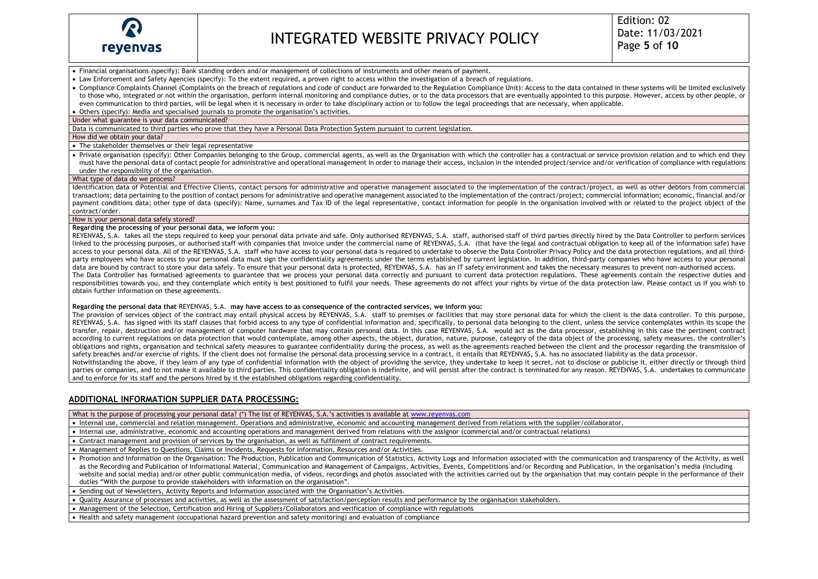

• Financial organisations (specify): Bank standing orders and/or management of collections of instruments and other means of payment.

• Law Enforcement and Safety Agencies (specify): To the extent required, a proven right to access within the investigation of a breach of regulations.

• Compliance Complaints Channel (Complaints on the breach of regulations and code of conduct are forwarded to the Regulation Compliance Unit): Access to the data contained in these systems will be limited exclusively to those who, integrated or not within the organisation, perform internal monitoring and compliance duties, or to the data processors that are eventually appointed to this purpose. However, access by other people, or even communication to third parties, will be legal when it is necessary in order to take disciplinary action or to follow the legal proceedings that are necessary, when applicable.

• Others (specify): Media and specialised journals to promote the organisation's activities.

Under what guarantee is your data communicated?

Data is communicated to third parties who prove that they have a Personal Data Protection System pursuant to current legislation.

How did we obtain your data?

• The stakeholder themselves or their legal representative

• Private organisation (specify): Other Companies belonging to the Group, commercial agents, as well as the Organisation with which the controller has a contractual or service provision relation and to which end they must have the personal data of contact people for administrative and operational management in order to manage their access, inclusion in the intended project/service and/or verification of compliance with regulations under the responsibility of the organisation.

#### What type of data do we process?

Identification data of Potential and Effective Clients, contact persons for administrative and operative management associated to the implementation of the contract/project, as well as other debtors from commercial transactions; data pertaining to the position of contact persons for administrative and operative management associated to the implementation of the contract/project; commercial information; economic, financial and/or payment conditions data; other type of data (specify): Name, surnames and Tax ID of the legal representative, contact information for people in the organisation involved with or related to the project object of the contract/order.

### How is your personal data safely stored?

### **Regarding the processing of your personal data, we inform you:**

REYENVAS, S.A. takes all the steps required to keep your personal data private and safe. Only authorised REYENVAS, S.A. staff, authorised staff of third parties directly hired by the Data Controller to perform services linked to the processing purposes, or authorised staff with companies that invoice under the commercial name of REYENVAS, S.A. (that have the legal and contractual obligation to keep all of the information safe) have access to your personal data. All of the REYENVAS, S.A. staff who have access to your personal data is required to undertake to observe the Data Controller Privacy Policy and the data protection regulations, and all thirdparty employees who have access to your personal data must sign the confidentiality agreements under the terms established by current legislation. In addition, third-party companies who have access to your personal data are bound by contract to store your data safely. To ensure that your personal data is protected, REYENVAS, S.A. has an IT safety environment and takes the necessary measures to prevent non-authorised access. The Data Controller has formalised agreements to guarantee that we process your personal data correctly and pursuant to current data protection regulations. These agreements contain the respective duties and responsibilities towards you, and they contemplate which entity is best positioned to fulfil your needs. These agreements do not affect your rights by virtue of the data protection law. Please contact us if you wish to obtain further information on these agreements.

**Regarding the personal data that** REYENVAS, S.A. **may have access to as consequence of the contracted services, we inform you:**

The provision of services object of the contract may entail physical access by REYENVAS, S.A. staff to premises or facilities that may store personal data for which the client is the data controller. To this purpose, REYENVAS, S.A. has signed with its staff clauses that forbid access to any type of confidential information and, specifically, to personal data belonging to the client, unless the service contemplates within its scope the transfer, repair, destruction and/or management of computer hardware that may contain personal data. In this case REYENVAS, S.A. would act as the data processor, establishing in this case the pertinent contract according to current regulations on data protection that would contemplate, among other aspects, the object, duration, nature, purpose, category of the data object of the processing, safety measures, the controller's obligations and rights, organisation and technical safety measures to guarantee confidentiality during the process, as well as the agreements reached between the client and the processor regarding the transmission of safety breaches and/or exercise of rights. If the client does not formalise the personal data processing service in a contract, it entails that REYENVAS, S.A. has no associated liability as the data processor.

Notwithstanding the above, if they learn of any type of confidential information with the object of providing the service, they undertake to keep it secret, not to disclose or publicise it, either directly or through third parties or companies, and to not make it available to third parties. This confidentiality obligation is indefinite, and will persist after the contract is terminated for any reason. REYENVAS, S.A. undertakes to communicate and to enforce for its staff and the persons hired by it the established obligations regarding confidentiality.

## **ADDITIONAL INFORMATION SUPPLIER DATA PROCESSING:**

What is the purpose of processing your personal data? (\*) The list of REYENVAS, S.A.'s activities is available at www.revenvas.com

• Internal use, commercial and relation management. Operations and administrative, economic and accounting management derived from relations with the supplier/collaborator.

• Internal use, administrative, economic and accounting operations and management derived from relations with the assignor (commercial and/or contractual relations)

• Contract management and provision of services by the organisation, as well as fulfilment of contract requirements.

• Management of Replies to Questions, Claims or Incidents, Requests for Information, Resources and/or Activities.

• Promotion and Information on the Organisation: The Production, Publication and Communication of Statistics, Activity Logs and Information associated with the communication and transparency of the Activity, as well as the Recording and Publication of Informational Material, Communication and Management of Campaigns, Activities, Events, Competitions and/or Recording and Publication, in the organisation's media (including website and social media) and/or other public communication media, of videos, recordings and photos associated with the activities carried out by the organisation that may contain people in the performance of their duties "With the purpose to provide stakeholders with information on the organisation".

• Sending out of Newsletters, Activity Reports and Information associated with the Organisation's Activities.

• Quality Assurance of processes and activities, as well as the assessment of satisfaction/perception results and performance by the organisation stakeholders.

• Management of the Selection, Certification and Hiring of Suppliers/Collaborators and verification of compliance with regulations

• Health and safety management (occupational hazard prevention and safety monitoring) and evaluation of compliance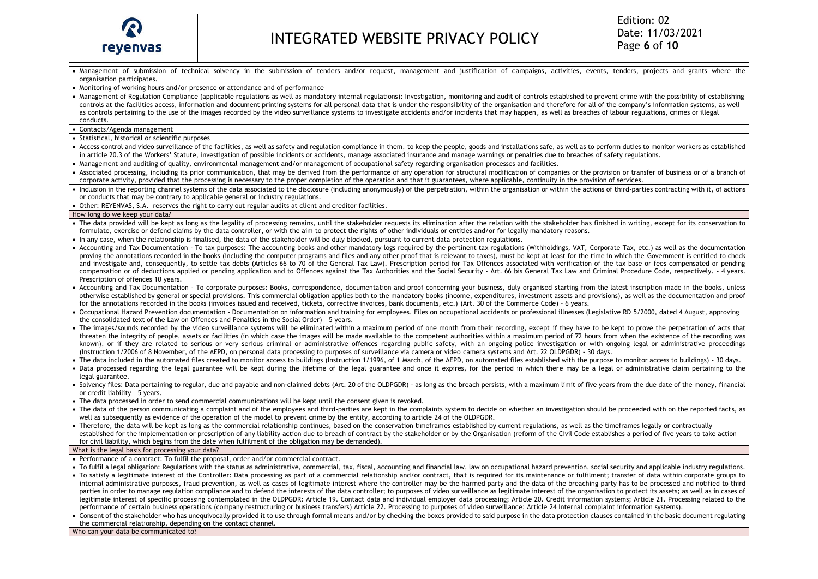

• Management of submission of technical solvency in the submission of tenders and/or request, management and justification of campaigns, activities, events, tenders, projects and grants where the organisation participates. • Monitoring of working hours and/or presence or attendance and of performance • Management of Regulation Compliance (applicable regulations as well as mandatory internal regulations): Investigation, monitoring and audit of controls established to prevent crime with the possibility of establishing controls at the facilities access, information and document printing systems for all personal data that is under the responsibility of the organisation and therefore for all of the company's information systems, as well as controls pertaining to the use of the images recorded by the video surveillance systems to investigate accidents and/or incidents that may happen, as well as breaches of labour regulations, crimes or illegal conducts. • Contacts/Agenda management • Statistical, historical or scientific purposes • Access control and video surveillance of the facilities, as well as safety and regulation compliance in them, to keep the people, goods and installations safe, as well as to perform duties to monitor workers as established in article 20.3 of the Workers' Statute, investigation of possible incidents or accidents, manage associated insurance and manage warnings or penalties due to breaches of safety regulations. • Management and auditing of quality, environmental management and/or management of occupational safety regarding organisation processes and facilities. • Associated processing, including its prior communication, that may be derived from the performance of any operation for structural modification of companies or the provision or transfer of business or of a branch of corporate activity, provided that the processing is necessary to the proper completion of the operation and that it guarantees, where applicable, continuity in the provision of services. • Inclusion in the reporting channel systems of the data associated to the disclosure (including anonymously) of the perpetration, within the organisation or within the actions of third-parties contracting with it, of acti or conducts that may be contrary to applicable general or industry regulations. • Other: REYENVAS, S.A. reserves the right to carry out regular audits at client and creditor facilities. How long do we keep your data? • The data provided will be kept as long as the legality of processing remains, until the stakeholder requests its elimination after the relation with the stakeholder has finished in writing, except for its conservation to formulate, exercise or defend claims by the data controller, or with the aim to protect the rights of other individuals or entities and/or for legally mandatory reasons. • In any case, when the relationship is finalised, the data of the stakeholder will be duly blocked, pursuant to current data protection regulations. • Accounting and Tax Documentation - To tax purposes: The accounting books and other mandatory logs required by the pertinent tax regulations (Withholdings, VAT, Corporate Tax, etc.) as well as the documentation proving the annotations recorded in the books (including the computer programs and files and any other proof that is relevant to taxes), must be kept at least for the time in which the Government is entitled to check and investigate and, consequently, to settle tax debts (Articles 66 to 70 of the General Tax Law). Prescription period for Tax Offences associated with verification of the tax base or fees compensated or pending compensation or of deductions applied or pending application and to Offences against the Tax Authorities and the Social Security - Art. 66 bis General Tax Law and Criminal Procedure Code, respectively. - 4 years. Prescription of offences 10 years. • Accounting and Tax Documentation - To corporate purposes: Books, correspondence, documentation and proof concerning your business, duly organised starting from the latest inscription made in the books, unless otherwise established by general or special provisions. This commercial obligation applies both to the mandatory books (income, expenditures, investment assets and provisions), as well as the documentation and proof for the annotations recorded in the books (invoices issued and received, tickets, corrective invoices, bank documents, etc.) (Art. 30 of the Commerce Code) – 6 years. • Occupational Hazard Prevention documentation - Documentation on information and training for employees. Files on occupational accidents or professional illnesses (Legislative RD 5/2000, dated 4 August, approving the consolidated text of the Law on Offences and Penalties in the Social Order) – 5 years. • The images/sounds recorded by the video surveillance systems will be eliminated within a maximum period of one month from their recording, except if they have to be kept to prove the perpetration of acts that threaten the integrity of people, assets or facilities (in which case the images will be made available to the competent authorities within a maximum period of 72 hours from when the existence of the recording was known), or if they are related to serious or very serious criminal or administrative offences regarding public safety, with an ongoing police investigation or with ongoing legal or administrative proceedings (Instruction 1/2006 of 8 November, of the AEPD, on personal data processing to purposes of surveillance via camera or video camera systems and Art. 22 OLDPGDR) - 30 days. • The data included in the automated files created to monitor access to buildings (Instruction 1/1996, of 1 March, of the AEPD, on automated files established with the purpose to monitor access to buildings) - 30 days. • Data processed regarding the legal guarantee will be kept during the lifetime of the legal guarantee and once it expires, for the period in which there may be a legal or administrative claim pertaining to the legal guarantee. • Solvency files: Data pertaining to regular, due and payable and non-claimed debts (Art. 20 of the OLDPGDR) - as long as the breach persists, with a maximum limit of five years from the due date of the money, financial or credit liability – 5 years. • The data processed in order to send commercial communications will be kept until the consent given is revoked. • The data of the person communicating a complaint and of the employees and third-parties are kept in the complaints system to decide on whether an investigation should be proceeded with on the reported facts, as well as subsequently as evidence of the operation of the model to prevent crime by the entity, according to article 24 of the OLDPGDR. • Therefore, the data will be kept as long as the commercial relationship continues, based on the conservation timeframes established by current regulations, as well as the timeframes legally or contractually established for the implementation or prescription of any liability action due to breach of contract by the stakeholder or by the Organisation (reform of the Civil Code establishes a period of five years to take action for civil liability, which begins from the date when fulfilment of the obligation may be demanded). What is the legal basis for processing your data? • Performance of a contract: To fulfil the proposal, order and/or commercial contract. • To fulfil a legal obligation: Regulations with the status as administrative, commercial, tax, fiscal, accounting and financial law, law on occupational hazard prevention, social security and applicable industry regulatio • To satisfy a legitimate interest of the Controller: Data processing as part of a commercial relationship and/or contract, that is required for its maintenance or fulfilment; transfer of data within corporate groups to internal administrative purposes, fraud prevention, as well as cases of legitimate interest where the controller may be the harmed party and the data of the breaching party has to be processed and notified to third parties in order to manage regulation compliance and to defend the interests of the data controller; to purposes of video surveillance as legitimate interest of the organisation to protect its assets; as well as in cases o legitimate interest of specific processing contemplated in the OLDPGDR: Article 19. Contact data and individual employer data processing; Article 20. Credit information systems; Article 21. Processing related to the performance of certain business operations (company restructuring or business transfers) Article 22. Processing to purposes of video surveillance; Article 24 Internal complaint information systems). • Consent of the stakeholder who has unequivocally provided it to use through formal means and/or by checking the boxes provided to said purpose in the data protection clauses contained in the basic document regulating the commercial relationship, depending on the contact channel.

Who can your data be communicated to?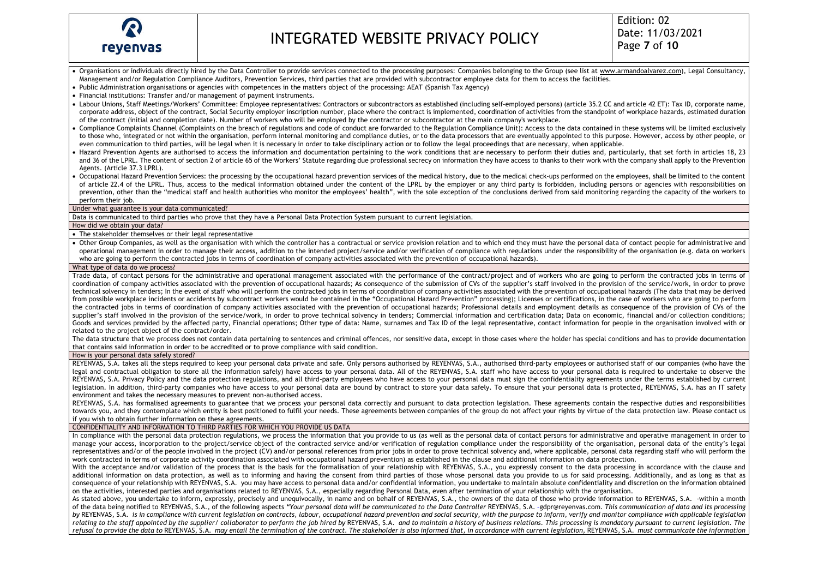

- Organisations or individuals directly hired by the Data Controller to provide services connected to the processing purposes: Companies belonging to the Group (see list a[t www.armandoalvarez.com\)](about:blank), Legal Consultancy, Management and/or Regulation Compliance Auditors, Prevention Services, third parties that are provided with subcontractor employee data for them to access the facilities.
- Public Administration organisations or agencies with competences in the matters object of the processing: AEAT (Spanish Tax Agency)
- Financial institutions: Transfer and/or management of payment instruments.
- Labour Unions, Staff Meetings/Workers' Committee: Employee representatives: Contractors or subcontractors as established (including self-employed persons) (article 35.2 CC and article 42 ET): Tax ID, corporate name, corporate address, object of the contract, Social Security employer inscription number, place where the contract is implemented, coordination of activities from the standpoint of workplace hazards, estimated duration of the contract (initial and completion date). Number of workers who will be employed by the contractor or subcontractor at the main company's workplace.
- Compliance Complaints Channel (Complaints on the breach of regulations and code of conduct are forwarded to the Regulation Compliance Unit): Access to the data contained in these systems will be limited exclusively to those who, integrated or not within the organisation, perform internal monitoring and compliance duties, or to the data processors that are eventually appointed to this purpose. However, access by other people, or even communication to third parties, will be legal when it is necessary in order to take disciplinary action or to follow the legal proceedings that are necessary, when applicable.
- Hazard Prevention Agents are authorised to access the information and documentation pertaining to the work conditions that are necessary to perform their duties and, particularly, that set forth in articles 18, 23 and 36 of the LPRL. The content of section 2 of article 65 of the Workers' Statute regarding due professional secrecy on information they have access to thanks to their work with the company shall apply to the Prevention Agents. (Article 37.3 LPRL).
- Occupational Hazard Prevention Services: the processing by the occupational hazard prevention services of the medical history, due to the medical check-ups performed on the employees, shall be limited to the content of article 22.4 of the LPRL. Thus, access to the medical information obtained under the content of the LPRL by the employer or any third party is forbidden, including persons or agencies with responsibilities on prevention, other than the "medical staff and health authorities who monitor the employees' health", with the sole exception of the conclusions derived from said monitoring regarding the capacity of the workers to perform their job.

Under what guarantee is your data communicated?

Data is communicated to third parties who prove that they have a Personal Data Protection System pursuant to current legislation.

#### How did we obtain your data?

- The stakeholder themselves or their legal representative
- Other Group Companies, as well as the organisation with which the controller has a contractual or service provision relation and to which end they must have the personal data of contact people for administrative and operational management in order to manage their access, addition to the intended project/service and/or verification of compliance with regulations under the responsibility of the organisation (e.g. data on workers who are going to perform the contracted jobs in terms of coordination of company activities associated with the prevention of occupational hazards).

#### What type of data do we process?

Trade data, of contact persons for the administrative and operational management associated with the performance of the contract/project and of workers who are going to perform the contracted jobs in terms of coordination of company activities associated with the prevention of occupational hazards; As consequence of the submission of CVs of the supplier's staff involved in the provision of the service/work, in order to prove technical solvency in tenders; In the event of staff who will perform the contracted jobs in terms of coordination of company activities associated with the prevention of occupational hazards (The data that may be derived from possible workplace incidents or accidents by subcontract workers would be contained in the "Occupational Hazard Prevention" processing); Licenses or certifications, in the case of workers who are going to perform the contracted jobs in terms of coordination of company activities associated with the prevention of occupational hazards; Professional details and employment details as consequence of the provision of CVs of the supplier's staff involved in the provision of the service/work, in order to prove technical solvency in tenders; Commercial information and certification data; Data on economic, financial and/or collection conditions; Goods and services provided by the affected party. Financial operations: Other type of data: Name, surnames and Tax ID of the legal representative, contact information for people in the organisation involved with or related to the project object of the contract/order.

The data structure that we process does not contain data pertaining to sentences and criminal offences, nor sensitive data, except in those cases where the holder has special conditions and has to provide documentation that contains said information in order to be accredited or to prove compliance with said condition.

### How is your personal data safely stored?

REYENVAS, S.A. takes all the steps required to keep your personal data private and safe. Only persons authorised by REYENVAS, S.A., authorised third-party employees or authorised staff of our companies (who have the legal and contractual obligation to store all the information safely) have access to your personal data. All of the REYENVAS, S.A. staff who have access to your personal data is required to undertake to observe the REYENVAS, S.A. Privacy Policy and the data protection regulations, and all third-party employees who have access to your personal data must sign the confidentiality agreements under the terms established by current legislation. In addition, third-party companies who have access to your personal data are bound by contract to store your data safely. To ensure that your personal data is protected, REYENVAS, S.A. has an IT safety environment and takes the necessary measures to prevent non-authorised access.

REYENVAS, S.A. has formalised agreements to guarantee that we process your personal data correctly and pursuant to data protection legislation. These agreements contain the respective duties and responsibilities towards you, and they contemplate which entity is best positioned to fulfil your needs. These agreements between companies of the group do not affect your rights by virtue of the data protection law. Please contact us if you wish to obtain further information on these agreements.

### CONFIDENTIALITY AND INFORMATION TO THIRD PARTIES FOR WHICH YOU PROVIDE US DATA

In compliance with the personal data protection regulations, we process the information that you provide to us (as well as the personal data of contact persons for administrative and operative management in order to manage your access, incorporation to the project/service object of the contracted service and/or verification of regulation compliance under the responsibility of the organisation, personal data of the entity's legal representatives and/or of the people involved in the project (CV) and/or personal references from prior jobs in order to prove technical solvency and, where applicable, personal data regarding staff who will perform the work contracted in terms of corporate activity coordination associated with occupational hazard prevention) as established in the clause and additional information on data protection.

With the acceptance and/or validation of the process that is the basis for the formalisation of your relationship with REYENVAS, S.A., you expressly consent to the data processing in accordance with the clause and additional information on data protection, as well as to informing and having the consent from third parties of those whose personal data you provide to us for said processing. Additionally, and as long as that as consequence of your relationship with REYENVAS, S.A. you may have access to personal data and/or confidential information, you undertake to maintain absolute confidentiality and discretion on the information obtained on the activities, interested parties and organisations related to REYENVAS, S.A., especially regarding Personal Data, even after termination of your relationship with the organisation.

As stated above, you undertake to inform, expressly, precisely and unequivocally, in name and on behalf of REYENVAS, S.A., the owners of the data of those who provide information to REYENVAS, S.A. -within a month of the data being notified to REYENVAS, S.A., of the following aspects "Your personal data will be communicated to the Data Controller REYENVAS, S.A. -[gdpr@reyenvas.com](about:blank). This communication of data and its processing by REYENVAS, S.A. is in compliance with current legislation on contracts, labour, occupational hazard prevention and social security, with the purpose to inform, verify and monitor compliance with applicable legislation relating to the staff appointed by the supplier/ collaborator to perform the job hired by REYENVAS, S.A. and to maintain a history of business relations. This processing is mandatory pursuant to current legislation. The refusal to provide the data to REYENVAS, S.A. may entail the termination of the contract. The stakeholder is also informed that, in accordance with current legislation, REYENVAS, S.A. must communicate the information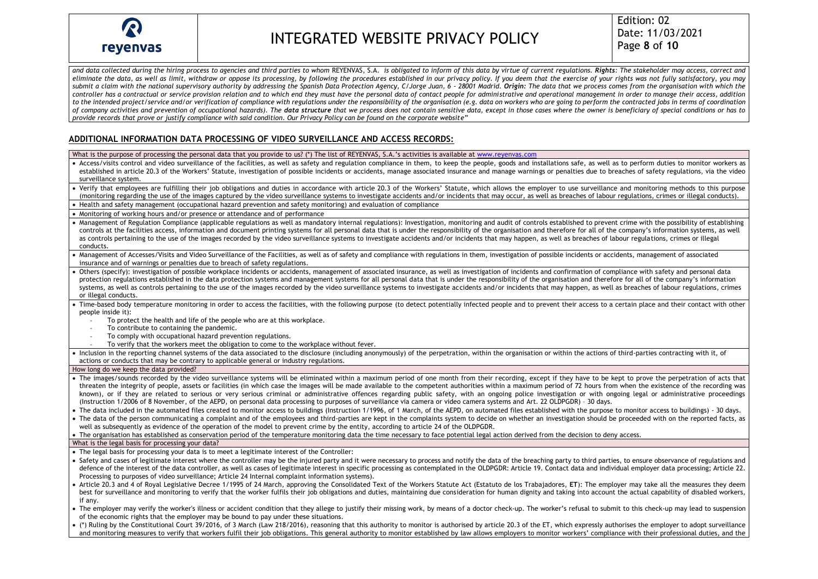

Edition: 02 Date: 11/03/2021 Page **8** of **10**

and data collected during the hiring process to agencies and third parties to whom REYENVAS, S.A. is obligated to inform of this data by virtue of current regulations. Rights: The stakeholder may access, correct and *eliminate the data, as well as limit, withdraw or oppose its processing, by following the procedures established in our privacy policy. If you deem that the exercise of your rights was not fully satisfactory, you may*  submit a claim with the national supervisory authority by addressing the Spanish Data Protection Agency, C/Jorge Juan, 6 - 28001 Madrid. Origin: The data that we process comes from the organisation with which the *controller has a contractual or service provision relation and to which end they must have the personal data of contact people for administrative and operational management in order to manage their access, addition*  to the intended project/service and/or verification of compliance with regulations under the responsibility of the organisation (e.g. data on workers who are going to perform the contracted iobs in terms of coordination of company activities and prevention of occupational hazards). The data structure that we process does not contain sensitive data, except in those cases where the owner is beneficiary of special conditions or has to *provide records that prove or justify compliance with said condition. Our Privacy Policy can be found on the corporate website"*

## **ADDITIONAL INFORMATION DATA PROCESSING OF VIDEO SURVEILLANCE AND ACCESS RECORDS:**

What is the purpose of processing the personal data that you provide to us? (\*) The list of REYENVAS, S.A.'s activities is available at www.revenvas.com

- Access/visits control and video surveillance of the facilities, as well as safety and regulation compliance in them, to keep the people, goods and installations safe, as well as to perform duties to monitor workers as established in article 20.3 of the Workers' Statute, investigation of possible incidents or accidents, manage associated insurance and manage warnings or penalties due to breaches of safety regulations, via the video surveillance system.
- Verify that employees are fulfilling their job obligations and duties in accordance with article 20.3 of the Workers' Statute, which allows the employer to use surveillance and monitoring methods to this purpose (monitoring regarding the use of the images captured by the video surveillance systems to investigate accidents and/or incidents that may occur, as well as breaches of labour regulations, crimes or illegal conducts).
- Health and safety management (occupational hazard prevention and safety monitoring) and evaluation of compliance

• Monitoring of working hours and/or presence or attendance and of performance

• Management of Regulation Compliance (applicable regulations as well as mandatory internal regulations): Investigation, monitoring and audit of controls established to prevent crime with the possibility of establishing controls at the facilities access, information and document printing systems for all personal data that is under the responsibility of the organisation and therefore for all of the company's information systems, as well as controls pertaining to the use of the images recorded by the video surveillance systems to investigate accidents and/or incidents that may happen, as well as breaches of labour regulations, crimes or illegal conducts.

- Management of Accesses/Visits and Video Surveillance of the Facilities, as well as of safety and compliance with regulations in them, investigation of possible incidents or accidents, management of associated insurance and of warnings or penalties due to breach of safety regulations.
- Others (specify): investigation of possible workplace incidents or accidents, management of associated insurance, as well as investigation of incidents and confirmation of compliance with safety and personal data protection regulations established in the data protection systems and management systems for all personal data that is under the responsibility of the organisation and therefore for all of the company's information systems, as well as controls pertaining to the use of the images recorded by the video surveillance systems to investigate accidents and/or incidents that may happen, as well as breaches of labour regulations, crimes or illegal conducts.
- Time-based body temperature monitoring in order to access the facilities, with the following purpose (to detect potentially infected people and to prevent their access to a certain place and their contact with other people inside it):
	- To protect the health and life of the people who are at this workplace.
	- To contribute to containing the pandemic.
	- To comply with occupational hazard prevention regulations.
	- To verify that the workers meet the obligation to come to the workplace without fever.

• Inclusion in the reporting channel systems of the data associated to the disclosure (including anonymously) of the perpetration, within the organisation or within the actions of third-parties contracting with it, of actions or conducts that may be contrary to applicable general or industry regulations.

## How long do we keep the data provided?

- The images/sounds recorded by the video surveillance systems will be eliminated within a maximum period of one month from their recording, except if they have to be kept to prove the perpetration of acts that threaten the integrity of people, assets or facilities (in which case the images will be made available to the competent authorities within a maximum period of 72 hours from when the existence of the recording was known), or if they are related to serious or very serious criminal or administrative offences regarding public safety, with an ongoing police investigation or with ongoing legal or administrative proceedings (Instruction 1/2006 of 8 November, of the AEPD, on personal data processing to purposes of surveillance via camera or video camera systems and Art. 22 OLDPGDR) – 30 days.
- The data included in the automated files created to monitor access to buildings (Instruction 1/1996, of 1 March, of the AEPD, on automated files established with the purpose to monitor access to buildings) 30 days.
- The data of the person communicating a complaint and of the employees and third-parties are kept in the complaints system to decide on whether an investigation should be proceeded with on the reported facts, as well as subsequently as evidence of the operation of the model to prevent crime by the entity, according to article 24 of the OLDPGDR.

• The organisation has established as conservation period of the temperature monitoring data the time necessary to face potential legal action derived from the decision to deny access.

#### What is the legal basis for processing your data?

- The legal basis for processing your data is to meet a legitimate interest of the Controller:
- Safety and cases of legitimate interest where the controller may be the injured party and it were necessary to process and notify the data of the breaching party to third parties, to ensure observance of regulations and defence of the interest of the data controller, as well as cases of legitimate interest in specific processing as contemplated in the OLDPGDR: Article 19. Contact data and individual employer data processing; Article 22. Processing to purposes of video surveillance; Article 24 Internal complaint information systems).
- Article 20.3 and 4 of Royal Legislative Decree 1/1995 of 24 March, approving the Consolidated Text of the Workers Statute Act (Estatuto de los Trabajadores, **ET**): The employer may take all the measures they deem best for surveillance and monitoring to verify that the worker fulfils their job obligations and duties, maintaining due consideration for human dignity and taking into account the actual capability of disabled workers, if any.
- The employer may verify the worker's illness or accident condition that they allege to justify their missing work, by means of a doctor check-up. The worker's refusal to submit to this check-up may lead to suspension of the economic rights that the employer may be bound to pay under these situations.
- (\*) Ruling by the Constitutional Court 39/2016, of 3 March (Law 218/2016), reasoning that this authority to monitor is authorised by article 20.3 of the ET, which expressly authorises the employer to adopt surveillance and monitoring measures to verify that workers fulfil their job obligations. This general authority to monitor established by law allows employers to monitor workers' compliance with their professional duties, and the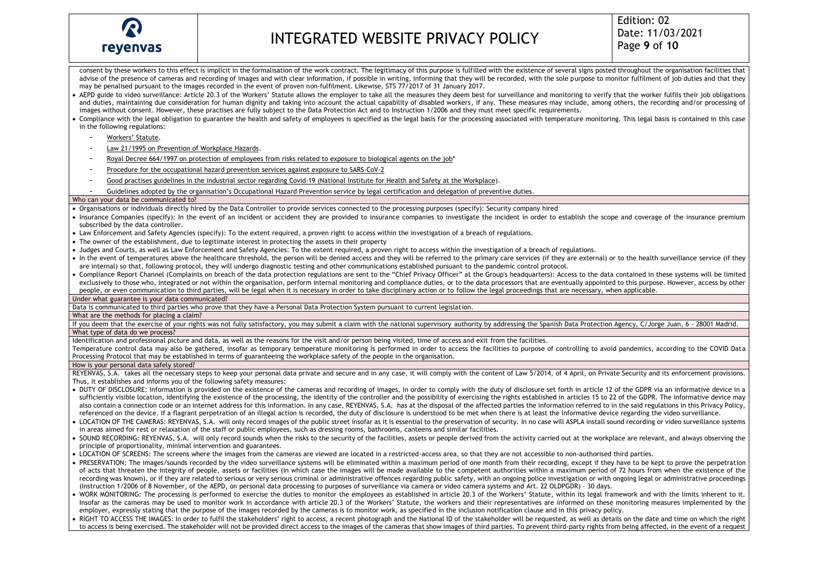

consent by these workers to this effect is implicit in the formalisation of the work contract. The legitimacy of this purpose is fulfilled with the existence of several signs posted throughout the organisation facilities t advise of the presence of cameras and recording of images and with clear information, if possible in writing, informing that they will be recorded, with the sole purpose to monitor fulfilment of job duties and that they may be penalised pursuant to the images recorded in the event of proven non-fulfilment. Likewise, STS 77/2017 of 31 January 2017.

• AEPD guide to video surveillance: Article 20.3 of the Workers' Statute allows the employer to take all the measures they deem best for surveillance and monitoring to verify that the worker fulfils their job obligations and duties, maintaining due consideration for human dignity and taking into account the actual capability of disabled workers, if any. These measures may include, among others, the recording and/or processing of images without consent. However, these practises are fully subject to the Data Protection Act and to Instruction 1/2006 and they must meet specific requirements.

• Compliance with the legal obligation to guarantee the health and safety of employees is specified as the legal basis for the processing associated with temperature monitoring. This legal basis is contained in this case in the following regulations:

- [Workers'](about:blank) Statute.
- Law 21/1995 on [Prevention](about:blank) of Workplace Hazards.
- Royal Decree 664/1997 on protection of [employees](about:blank) from risks related to exposure to biological agents on the job\*
- Procedure for the [occupational](about:blank) hazard prevention services against exposure to SARS-CoV-2
- Good practises guidelines in the industrial sector regarding Covid-19 (National Institute for Health and Safety at the [Workplace\)](about:blank).
- Guidelines adopted by the organisation's Occupational Hazard Prevention service by legal certification and delegation of preventive duties.

### Who can your data be communicated to?

• Organisations or individuals directly hired by the Data Controller to provide services connected to the processing purposes (specify): Security company hired

- Insurance Companies (specify): In the event of an incident or accident they are provided to insurance companies to investigate the incident in order to establish the scope and coverage of the insurance premium subscribed by the data controller.
- Law Enforcement and Safety Agencies (specify): To the extent required, a proven right to access within the investigation of a breach of regulations.
- The owner of the establishment, due to legitimate interest in protecting the assets in their property
- Judges and Courts, as well as Law Enforcement and Safety Agencies: To the extent required, a proven right to access within the investigation of a breach of regulations.
- In the event of temperatures above the healthcare threshold, the person will be denied access and they will be referred to the primary care services (if they are external) or to the health surveillance service (if they are internal) so that, following protocol, they will undergo diagnostic testing and other communications established pursuant to the pandemic control protocol.
- Compliance Report Channel (Complaints on breach of the data protection regulations are sent to the "Chief Privacy Officer" at the Group's headquarters): Access to the data contained in these systems will be limited exclusively to those who, integrated or not within the organisation, perform internal monitoring and compliance duties, or to the data processors that are eventually appointed to this purpose. However, access by other people, or even communication to third parties, will be legal when it is necessary in order to take disciplinary action or to follow the legal proceedings that are necessary, when applicable.

Under what guarantee is your data communicated?

Data is communicated to third parties who prove that they have a Personal Data Protection System pursuant to current legislation.

What are the methods for placing a claim?

If you deem that the exercise of your rights was not fully satisfactory, you may submit a claim with the national supervisory authority by addressing the Spanish Data Protection Agency, C/Jorge Juan, 6 - 28001 Madrid. What type of data do we process?

Identification and professional picture and data, as well as the reasons for the visit and/or person being visited, time of access and exit from the facilities.

Temperature control data may also be gathered, insofar as temporary temperature monitoring is performed in order to access the facilities to purpose of controlling to avoid pandemics, according to the COVID Data Processing Protocol that may be established in terms of guaranteeing the workplace safety of the people in the organisation.

### How is your personal data safely stored?

REYENVAS, S.A. takes all the necessary steps to keep your personal data private and secure and in any case, it will comply with the content of Law 5/2014, of 4 April, on Private Security and its enforcement provisions. Thus, it establishes and informs you of the following safety measures:

- DUTY OF DISCLOSURE: Information is provided on the existence of the cameras and recording of images, in order to comply with the duty of disclosure set forth in article 12 of the GDPR via an informative device in a sufficiently visible location, identifying the existence of the processing, the identity of the controller and the possibility of exercising the rights established in articles 15 to 22 of the GDPR. The informative device m also contain a connection code or an internet address for this information. In any case, REYENVAS, S.A. has at the disposal of the affected parties the information referred to in the said regulations in this Privacy Policy, referenced on the device. If a flagrant perpetration of an illegal action is recorded, the duty of disclosure is understood to be met when there is at least the informative device regarding the video surveillance.
- LOCATION OF THE CAMERAS: REYENVAS, S.A. will only record images of the public street insofar as it is essential to the preservation of security. In no case will ASPLA install sound recording or video surveillance systems in areas aimed for rest or relaxation of the staff or public employees, such as dressing rooms, bathrooms, canteens and similar facilities.
- SOUND RECORDING: REYENVAS, S.A. will only record sounds when the risks to the security of the facilities, assets or people derived from the activity carried out at the workplace are relevant, and always observing the principle of proportionality, minimal intervention and guarantees.
- LOCATION OF SCREENS: The screens where the images from the cameras are viewed are located in a restricted-access area, so that they are not accessible to non-authorised third parties.
- PRESERVATION: The images/sounds recorded by the video surveillance systems will be eliminated within a maximum period of one month from their recording, except if they have to be kept to prove the perpetration of acts that threaten the integrity of people, assets or facilities (in which case the images will be made available to the competent authorities within a maximum period of 72 hours from when the existence of the recording was known), or if they are related to serious or very serious criminal or administrative offences regarding public safety, with an ongoing police investigation or with ongoing legal or administrative proceedings (Instruction 1/2006 of 8 November, of the AEPD, on personal data processing to purposes of surveillance via camera or video camera systems and Art. 22 OLDPGDR) – 30 days.
- WORK MONITORING: The processing is performed to exercise the duties to monitor the employees as established in article 20.3 of the Workers' Statute, within its legal framework and with the limits inherent to it. Insofar as the cameras may be used to monitor work in accordance with article 20.3 of the Workers' Statute, the workers and their representatives are informed on these monitoring measures implemented by the employer, expressly stating that the purpose of the images recorded by the cameras is to monitor work, as specified in the inclusion notification clause and in this privacy policy.
- RIGHT TO ACCESS THE IMAGES: In order to fulfil the stakeholders' right to access, a recent photograph and the National ID of the stakeholder will be requested, as well as details on the date and time on which the right to access is being exercised. The stakeholder will not be provided direct access to the images of the cameras that show images of third parties. To prevent third-party rights from being affected, in the event of a request